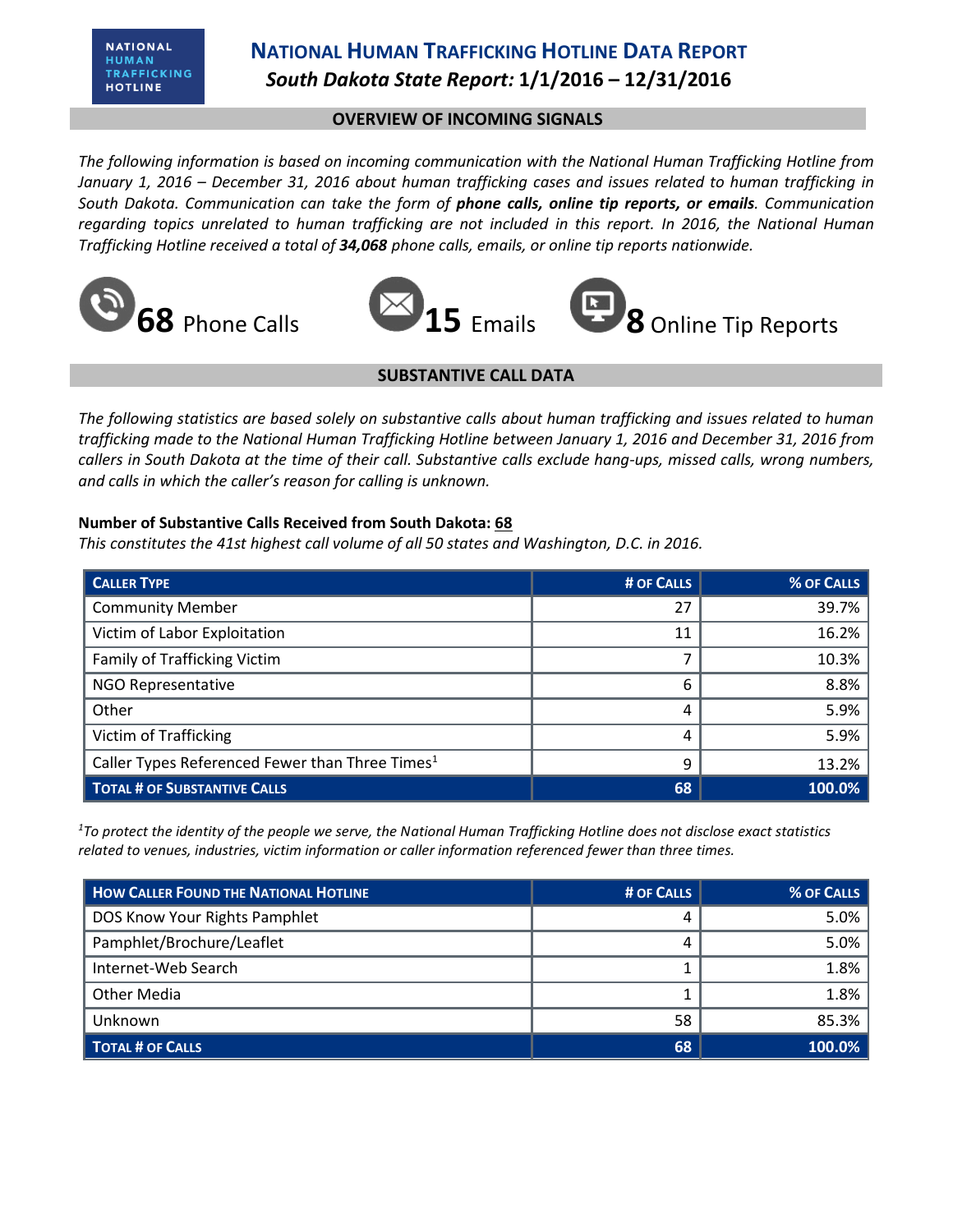# **NATIONAL HUMAN TRAFFICKING HOTLINE DATA REPORT** *South Dakota State Report:* **1/1/2016 – 12/31/2016**

### **OVERVIEW OF INCOMING SIGNALS**

*The following information is based on incoming communication with the National Human Trafficking Hotline from January 1, 2016 – December 31, 2016 about human trafficking cases and issues related to human trafficking in South Dakota. Communication can take the form of phone calls, online tip reports, or emails. Communication regarding topics unrelated to human trafficking are not included in this report. In 2016, the National Human Trafficking Hotline received a total of 34,068 phone calls, emails, or online tip reports nationwide.*





#### **SUBSTANTIVE CALL DATA**

*The following statistics are based solely on substantive calls about human trafficking and issues related to human trafficking made to the National Human Trafficking Hotline between January 1, 2016 and December 31, 2016 from callers in South Dakota at the time of their call. Substantive calls exclude hang-ups, missed calls, wrong numbers, and calls in which the caller's reason for calling is unknown.*

#### **Number of Substantive Calls Received from South Dakota: 68**

*This constitutes the 41st highest call volume of all 50 states and Washington, D.C. in 2016.*

| <b>CALLER TYPE</b>                                          | # OF CALLS | <b>% OF CALLS</b> |
|-------------------------------------------------------------|------------|-------------------|
| <b>Community Member</b>                                     | 27         | 39.7%             |
| Victim of Labor Exploitation                                | 11         | 16.2%             |
| Family of Trafficking Victim                                |            | 10.3%             |
| <b>NGO Representative</b>                                   | 6          | 8.8%              |
| Other                                                       | 4          | 5.9%              |
| <b>Victim of Trafficking</b>                                | 4          | 5.9%              |
| Caller Types Referenced Fewer than Three Times <sup>1</sup> | 9          | 13.2%             |
| <b>TOTAL # OF SUBSTANTIVE CALLS</b>                         | 68         | 100.0%            |

*<sup>1</sup>To protect the identity of the people we serve, the National Human Trafficking Hotline does not disclose exact statistics related to venues, industries, victim information or caller information referenced fewer than three times.* 

| <b>HOW CALLER FOUND THE NATIONAL HOTLINE</b> | # OF CALLS | % OF CALLS |
|----------------------------------------------|------------|------------|
| DOS Know Your Rights Pamphlet                |            | 5.0%       |
| Pamphlet/Brochure/Leaflet                    |            | 5.0%       |
| Internet-Web Search                          |            | 1.8%       |
| Other Media                                  |            | 1.8%       |
| Unknown                                      | 58         | 85.3%      |
| <b>TOTAL # OF CALLS</b>                      | 68         | 100.0%     |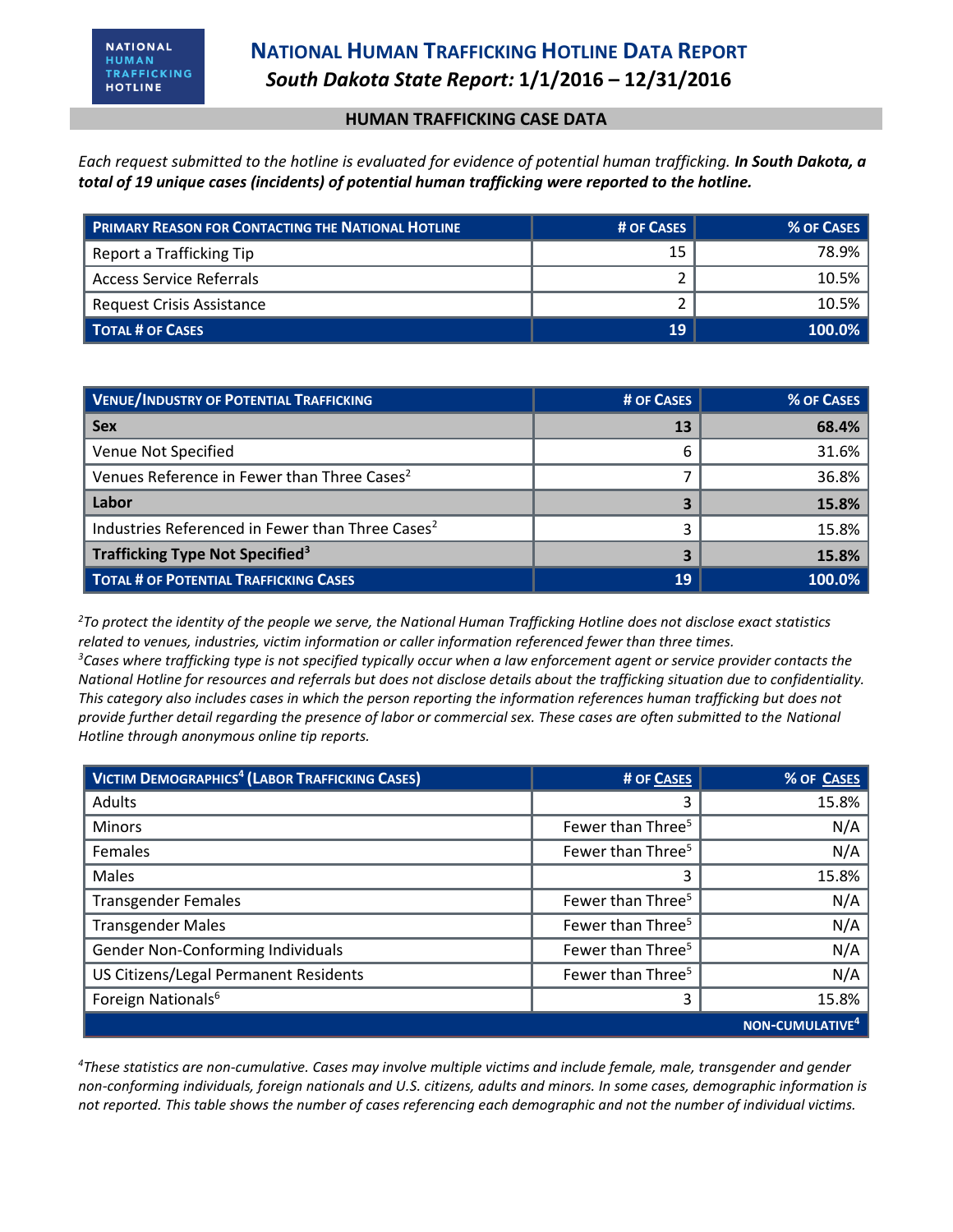#### **HUMAN TRAFFICKING CASE DATA**

*Each request submitted to the hotline is evaluated for evidence of potential human trafficking. In South Dakota, a total of 19 unique cases (incidents) of potential human trafficking were reported to the hotline.*

| <b>PRIMARY REASON FOR CONTACTING THE NATIONAL HOTLINE</b> | # OF CASES | % OF CASES |
|-----------------------------------------------------------|------------|------------|
| Report a Trafficking Tip                                  | 15         | 78.9%      |
| <b>Access Service Referrals</b>                           |            | $10.5\%$   |
| Request Crisis Assistance                                 |            | 10.5%      |
| <b>TOTAL # OF CASES</b>                                   | 19         | $100.0\%$  |

| <b>VENUE/INDUSTRY OF POTENTIAL TRAFFICKING</b>               | # OF CASES | % OF CASES |
|--------------------------------------------------------------|------------|------------|
| <b>Sex</b>                                                   | 13         | 68.4%      |
| Venue Not Specified                                          | 6          | 31.6%      |
| Venues Reference in Fewer than Three Cases <sup>2</sup>      |            | 36.8%      |
| Labor                                                        |            | 15.8%      |
| Industries Referenced in Fewer than Three Cases <sup>2</sup> |            | 15.8%      |
| Trafficking Type Not Specified <sup>3</sup>                  |            | 15.8%      |
| <b>TOTAL # OF POTENTIAL TRAFFICKING CASES</b>                | 19         | 100.0%     |

*<sup>2</sup>To protect the identity of the people we serve, the National Human Trafficking Hotline does not disclose exact statistics related to venues, industries, victim information or caller information referenced fewer than three times. <sup>3</sup>Cases where trafficking type is not specified typically occur when a law enforcement agent or service provider contacts the National Hotline for resources and referrals but does not disclose details about the trafficking situation due to confidentiality. This category also includes cases in which the person reporting the information references human trafficking but does not provide further detail regarding the presence of labor or commercial sex. These cases are often submitted to the National Hotline through anonymous online tip reports.*

| <b>VICTIM DEMOGRAPHICS<sup>4</sup></b> (LABOR TRAFFICKING CASES) | # OF CASES                    | % OF CASES                  |
|------------------------------------------------------------------|-------------------------------|-----------------------------|
| <b>Adults</b>                                                    | 3                             | 15.8%                       |
| <b>Minors</b>                                                    | Fewer than Three <sup>5</sup> | N/A                         |
| Females                                                          | Fewer than Three <sup>5</sup> | N/A                         |
| <b>Males</b>                                                     | 3                             | 15.8%                       |
| <b>Transgender Females</b>                                       | Fewer than Three <sup>5</sup> | N/A                         |
| <b>Transgender Males</b>                                         | Fewer than Three <sup>5</sup> | N/A                         |
| Gender Non-Conforming Individuals                                | Fewer than Three <sup>5</sup> | N/A                         |
| US Citizens/Legal Permanent Residents                            | Fewer than Three <sup>5</sup> | N/A                         |
| Foreign Nationals <sup>6</sup>                                   | 3                             | 15.8%                       |
|                                                                  |                               | NON-CUMULATIVE <sup>4</sup> |

*<sup>4</sup>These statistics are non-cumulative. Cases may involve multiple victims and include female, male, transgender and gender non-conforming individuals, foreign nationals and U.S. citizens, adults and minors. In some cases, demographic information is not reported. This table shows the number of cases referencing each demographic and not the number of individual victims.*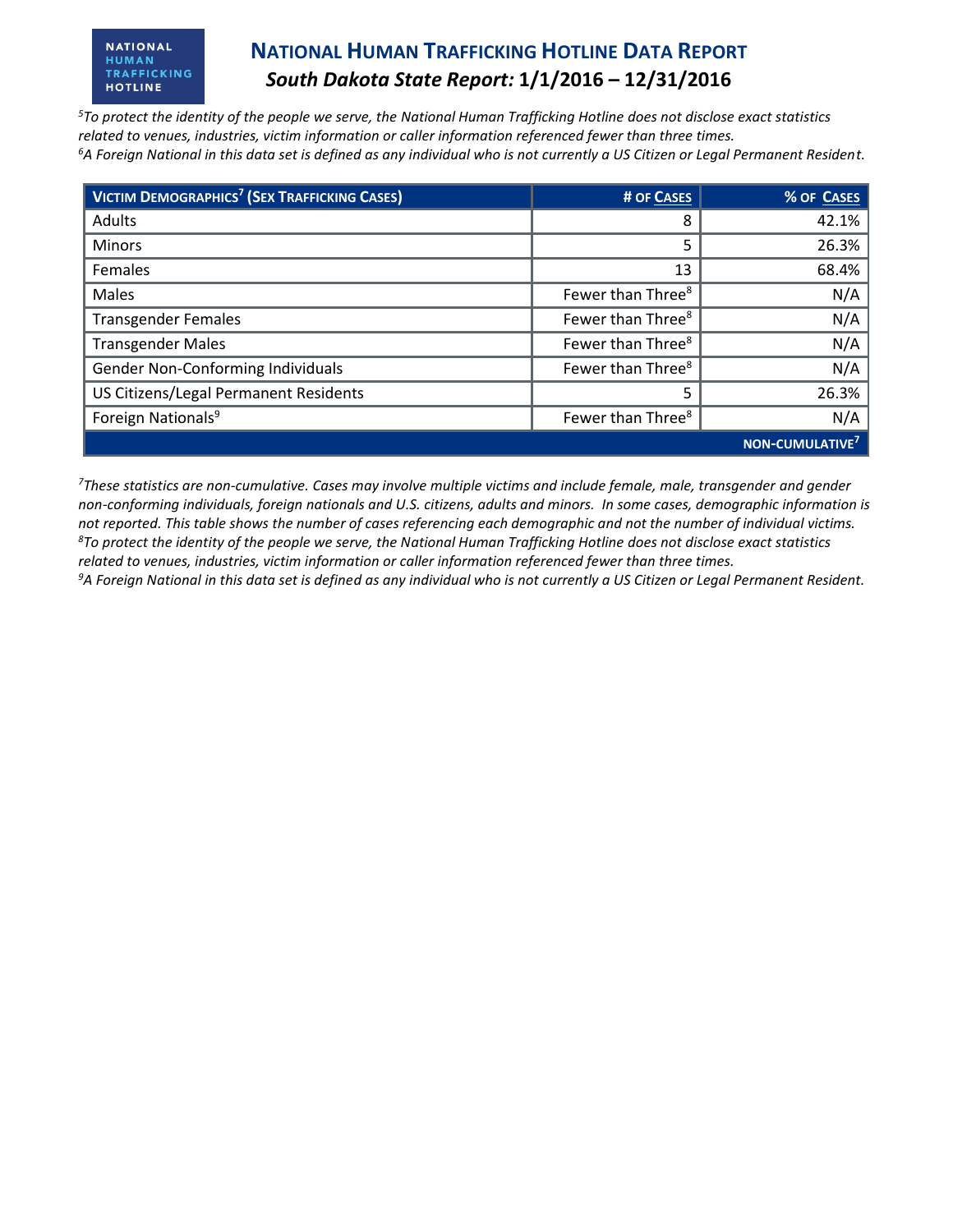#### **NATIONAL** HUMAN TRAFFICKING **HOTLINE**

### **NATIONAL HUMAN TRAFFICKING HOTLINE DATA REPORT** *South Dakota State Report:* **1/1/2016 – 12/31/2016**

*<sup>5</sup>To protect the identity of the people we serve, the National Human Trafficking Hotline does not disclose exact statistics related to venues, industries, victim information or caller information referenced fewer than three times. <sup>6</sup>A Foreign National in this data set is defined as any individual who is not currently a US Citizen or Legal Permanent Resident.* 

| VICTIM DEMOGRAPHICS <sup>7</sup> (SEX TRAFFICKING CASES) | # OF CASES                    | % OF CASES            |
|----------------------------------------------------------|-------------------------------|-----------------------|
| Adults                                                   | 8                             | 42.1%                 |
| <b>Minors</b>                                            | 5                             | 26.3%                 |
| <b>Females</b>                                           | 13                            | 68.4%                 |
| Males                                                    | Fewer than Three <sup>8</sup> | N/A                   |
| <b>Transgender Females</b>                               | Fewer than Three <sup>8</sup> | N/A                   |
| <b>Transgender Males</b>                                 | Fewer than Three <sup>8</sup> | N/A                   |
| Gender Non-Conforming Individuals                        | Fewer than Three <sup>8</sup> | N/A                   |
| US Citizens/Legal Permanent Residents                    | 5                             | 26.3%                 |
| Foreign Nationals <sup>9</sup>                           | Fewer than Three <sup>8</sup> | N/A                   |
|                                                          |                               | <b>NON-CUMULATIVE</b> |

*<sup>7</sup>These statistics are non-cumulative. Cases may involve multiple victims and include female, male, transgender and gender non-conforming individuals, foreign nationals and U.S. citizens, adults and minors. In some cases, demographic information is not reported. This table shows the number of cases referencing each demographic and not the number of individual victims. <sup>8</sup>To protect the identity of the people we serve, the National Human Trafficking Hotline does not disclose exact statistics related to venues, industries, victim information or caller information referenced fewer than three times. 9A Foreign National in this data set is defined as any individual who is not currently a US Citizen or Legal Permanent Resident.*